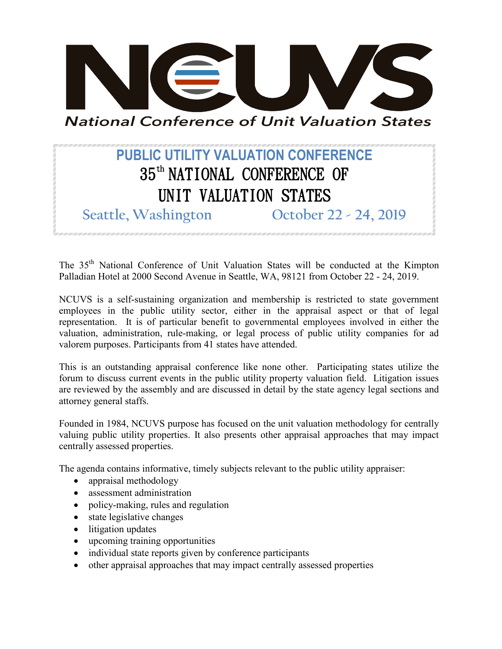

**National Conference of Unit Valuation States** 

## **PUBLIC UTILITY VALUATION CONFERENCE** 35th NATIONAL CONFERENCE OF UNIT VALUATION STATES

**Seattle, Washington October 22 - 24, 2019**

The 35<sup>th</sup> National Conference of Unit Valuation States will be conducted at the Kimpton Palladian Hotel at 2000 Second Avenue in Seattle, WA, 98121 from October 22 - 24, 2019.

NCUVS is a self-sustaining organization and membership is restricted to state government employees in the public utility sector, either in the appraisal aspect or that of legal representation. It is of particular benefit to governmental employees involved in either the valuation, administration, rule-making, or legal process of public utility companies for ad valorem purposes. Participants from 41 states have attended.

This is an outstanding appraisal conference like none other. Participating states utilize the forum to discuss current events in the public utility property valuation field. Litigation issues are reviewed by the assembly and are discussed in detail by the state agency legal sections and attorney general staffs.

Founded in 1984, NCUVS purpose has focused on the unit valuation methodology for centrally valuing public utility properties. It also presents other appraisal approaches that may impact centrally assessed properties.

The agenda contains informative, timely subjects relevant to the public utility appraiser:

- appraisal methodology
- assessment administration
- policy-making, rules and regulation
- state legislative changes
- litigation updates
- upcoming training opportunities
- individual state reports given by conference participants
- other appraisal approaches that may impact centrally assessed properties